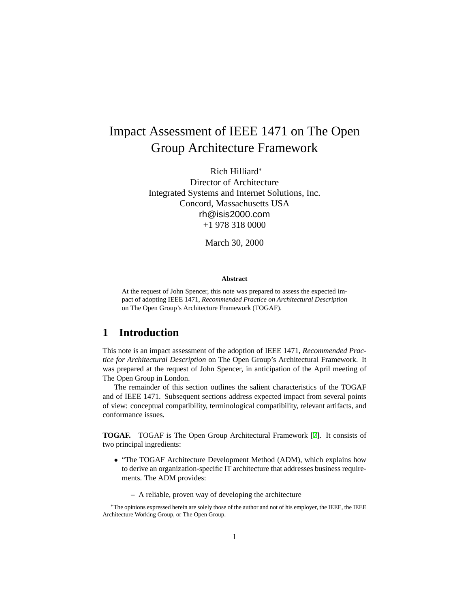# Impact Assessment of IEEE 1471 on The Open Group Architecture Framework

Rich Hilliard<sup>∗</sup> Director of Architecture Integrated Systems and Internet Solutions, Inc. Concord, Massachusetts USA rh@isis2000.com +1 978 318 0000

March 30, 2000

#### **Abstract**

At the request of John Spencer, this note was prepared to assess the expected impact of adopting IEEE 1471, *Recommended Practice on Architectural Description* on The Open Group's Architecture Framework (TOGAF).

### **1 Introduction**

This note is an impact assessment of the adoption of IEEE 1471, *Recommended Practice for Architectural Description* on The Open Group's Architectural Framework. It was prepared at the request of John Spencer, in anticipation of the April meeting of The Open Group in London.

The remainder of this section outlines the salient characteristics of the TOGAF and of IEEE 1471. Subsequent sections address expected impact from several points of view: conceptual compatibility, terminological compatibility, relevant artifacts, and conformance issues.

**TOGAF.** TOGAF is The Open Group Architectural Framework [\[7\]](#page-9-0). It consists of two principal ingredients:

- "The TOGAF Architecture Development Method (ADM), which explains how to derive an organization-specific IT architecture that addresses business requirements. The ADM provides:
	- **–** A reliable, proven way of developing the architecture

<sup>∗</sup>The opinions expressed herein are solely those of the author and not of his employer, the IEEE, the IEEE Architecture Working Group, or The Open Group.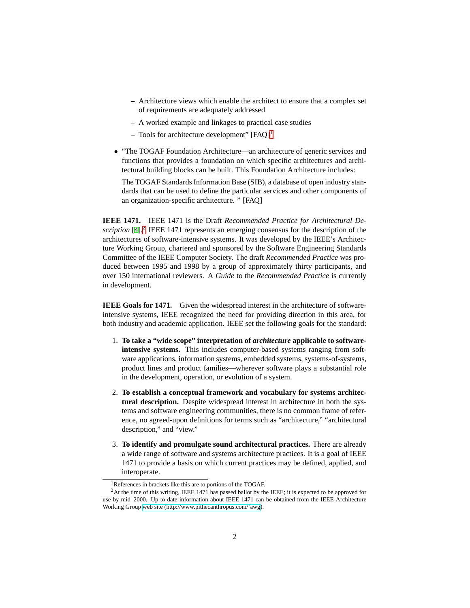- **–** Architecture views which enable the architect to ensure that a complex set of requirements are adequately addressed
- **–** A worked example and linkages to practical case studies
- **–** Tools for architecture development" [FAQ][1](#page-1-0)
- "The TOGAF Foundation Architecture—an architecture of generic services and functions that provides a foundation on which specific architectures and architectural building blocks can be built. This Foundation Architecture includes:

The TOGAF Standards Information Base (SIB), a database of open industry standards that can be used to define the particular services and other components of an organization-specific architecture. " [FAQ]

**IEEE 1471.** IEEE 1471 is the Draft *Recommended Practice for Architectural De-*scription [\[4](#page-9-1)].<sup>[2](#page-1-1)</sup> IEEE 1471 represents an emerging consensus for the description of the architectures of software-intensive systems. It was developed by the IEEE's Architecture Working Group, chartered and sponsored by the Software Engineering Standards Committee of the IEEE Computer Society. The draft *Recommended Practice* was produced between 1995 and 1998 by a group of approximately thirty participants, and over 150 international reviewers. A *Guide* to the *Recommended Practice* is currently in development.

**IEEE Goals for 1471.** Given the widespread interest in the architecture of softwareintensive systems, IEEE recognized the need for providing direction in this area, for both industry and academic application. IEEE set the following goals for the standard:

- 1. **To take a "wide scope" interpretation of** *architecture* **applicable to softwareintensive systems.** This includes computer-based systems ranging from software applications, information systems, embedded systems, systems-of-systems, product lines and product families—wherever software plays a substantial role in the development, operation, or evolution of a system.
- 2. **To establish a conceptual framework and vocabulary for systems architectural description.** Despite widespread interest in architecture in both the systems and software engineering communities, there is no common frame of reference, no agreed-upon definitions for terms such as "architecture," "architectural description," and "view."
- 3. **To identify and promulgate sound architectural practices.** There are already a wide range of software and systems architecture practices. It is a goal of IEEE 1471 to provide a basis on which current practices may be defined, applied, and interoperate.

<span id="page-1-0"></span><sup>&</sup>lt;sup>1</sup>References in brackets like this are to portions of the TOGAF.

<span id="page-1-1"></span><sup>&</sup>lt;sup>2</sup>At the time of this writing, IEEE 1471 has passed ballot by the IEEE; it is expected to be approved for use by mid–2000. Up-to-date information about IEEE 1471 can be obtained from the IEEE Architecture Working Group [web site \(http://www.pithecanthropus.com/˜awg](http://www.pithecanthropus.com/~awg)).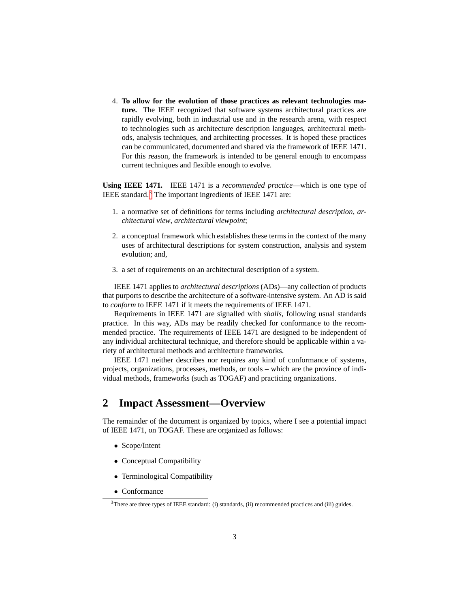4. **To allow for the evolution of those practices as relevant technologies mature.** The IEEE recognized that software systems architectural practices are rapidly evolving, both in industrial use and in the research arena, with respect to technologies such as architecture description languages, architectural methods, analysis techniques, and architecting processes. It is hoped these practices can be communicated, documented and shared via the framework of IEEE 1471. For this reason, the framework is intended to be general enough to encompass current techniques and flexible enough to evolve.

**Using IEEE 1471.** IEEE 1471 is a *recommended practice*—which is one type of IEEE standard.[3](#page-2-0) The important ingredients of IEEE 1471 are:

- 1. a normative set of definitions for terms including *architectural description*, *architectural view*, *architectural viewpoint*;
- 2. a conceptual framework which establishes these terms in the context of the many uses of architectural descriptions for system construction, analysis and system evolution; and,
- 3. a set of requirements on an architectural description of a system.

IEEE 1471 applies to *architectural descriptions* (ADs)—any collection of products that purports to describe the architecture of a software-intensive system. An AD is said to *conform* to IEEE 1471 if it meets the requirements of IEEE 1471.

Requirements in IEEE 1471 are signalled with *shalls*, following usual standards practice. In this way, ADs may be readily checked for conformance to the recommended practice. The requirements of IEEE 1471 are designed to be independent of any individual architectural technique, and therefore should be applicable within a variety of architectural methods and architecture frameworks.

IEEE 1471 neither describes nor requires any kind of conformance of systems, projects, organizations, processes, methods, or tools – which are the province of individual methods, frameworks (such as TOGAF) and practicing organizations.

### **2 Impact Assessment—Overview**

The remainder of the document is organized by topics, where I see a potential impact of IEEE 1471, on TOGAF. These are organized as follows:

- Scope/Intent
- Conceptual Compatibility
- Terminological Compatibility
- Conformance

<span id="page-2-0"></span><sup>&</sup>lt;sup>3</sup>There are three types of IEEE standard: (i) standards, (ii) recommended practices and (iii) guides.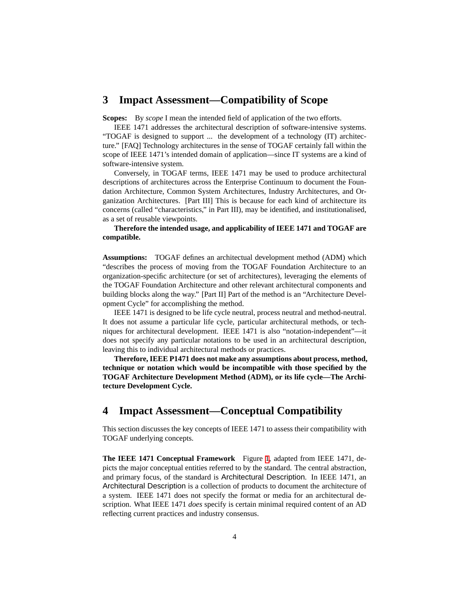#### **3 Impact Assessment—Compatibility of Scope**

**Scopes:** By *scope* I mean the intended field of application of the two efforts.

IEEE 1471 addresses the architectural description of software-intensive systems. "TOGAF is designed to support ... the development of a technology (IT) architecture." [FAQ] Technology architectures in the sense of TOGAF certainly fall within the scope of IEEE 1471's intended domain of application—since IT systems are a kind of software-intensive system.

Conversely, in TOGAF terms, IEEE 1471 may be used to produce architectural descriptions of architectures across the Enterprise Continuum to document the Foundation Architecture, Common System Architectures, Industry Architectures, and Organization Architectures. [Part III] This is because for each kind of architecture its concerns (called "characteristics," in Part III), may be identified, and institutionalised, as a set of reusable viewpoints.

#### **Therefore the intended usage, and applicability of IEEE 1471 and TOGAF are compatible.**

**Assumptions:** TOGAF defines an architectual development method (ADM) which "describes the process of moving from the TOGAF Foundation Architecture to an organization-specific architecture (or set of architectures), leveraging the elements of the TOGAF Foundation Architecture and other relevant architectural components and building blocks along the way." [Part II] Part of the method is an "Architecture Development Cycle" for accomplishing the method.

IEEE 1471 is designed to be life cycle neutral, process neutral and method-neutral. It does not assume a particular life cycle, particular architectural methods, or techniques for architectural development. IEEE 1471 is also "notation-independent"—it does not specify any particular notations to be used in an architectural description, leaving this to individual architectural methods or practices.

**Therefore, IEEE P1471 does not make any assumptions about process, method, technique or notation which would be incompatible with those specified by the TOGAF Architecture Development Method (ADM), or its life cycle—The Architecture Development Cycle.**

## **4 Impact Assessment—Conceptual Compatibility**

This section discusses the key concepts of IEEE 1471 to assess their compatibility with TOGAF underlying concepts.

**The IEEE 1471 Conceptual Framework** Figure [1,](#page-4-0) adapted from IEEE 1471, depicts the major conceptual entities referred to by the standard. The central abstraction, and primary focus, of the standard is Architectural Description. In IEEE 1471, an Architectural Description is a collection of products to document the architecture of a system. IEEE 1471 does not specify the format or media for an architectural description. What IEEE 1471 *does* specify is certain minimal required content of an AD reflecting current practices and industry consensus.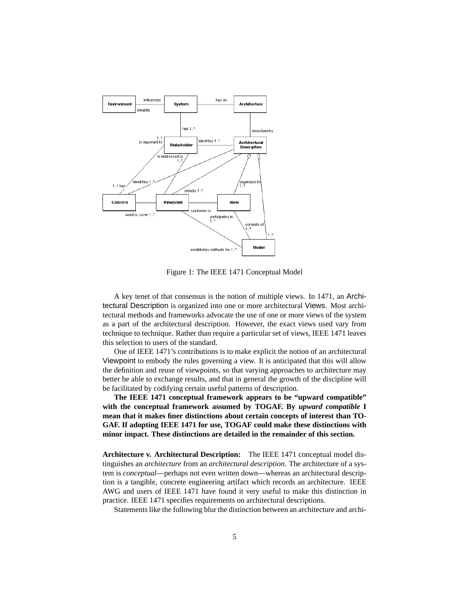

<span id="page-4-0"></span>Figure 1: The IEEE 1471 Conceptual Model

A key tenet of that consensus is the notion of multiple views. In 1471, an Architectural Description is organized into one or more architectural Views. Most architectural methods and frameworks advocate the use of one or more views of the system as a part of the architectural description. However, the exact views used vary from technique to technique. Rather than require a particular set of views, IEEE 1471 leaves this selection to users of the standard.

One of IEEE 1471's contributions is to make explicit the notion of an architectural Viewpoint to embody the rules governing a view. It is anticipated that this will allow the definition and reuse of viewpoints, so that varying approaches to architecture may better be able to exchange results, and that in general the growth of the discipline will be facilitated by codifying certain useful patterns of description.

**The IEEE 1471 conceptual framework appears to be "upward compatible" with the conceptual framework assumed by TOGAF. By** *upward compatible* **I mean that it makes finer distinctions about certain concepts of interest than TO-GAF. If adopting IEEE 1471 for use, TOGAF could make these distinctions with minor impact. These distinctions are detailed in the remainder of this section.**

**Architecture v. Architectural Description:** The IEEE 1471 conceptual model distinguishes an *architecture* from an *architectural description*. The architecture of a system is *conceptual*—perhaps not even written down—whereas an architectural description is a tangible, concrete engineering artifact which records an architecture. IEEE AWG and users of IEEE 1471 have found it very useful to make this distinction in practice. IEEE 1471 specifies requirements on architectural descriptions.

Statements like the following blur the distinction between an architecture and archi-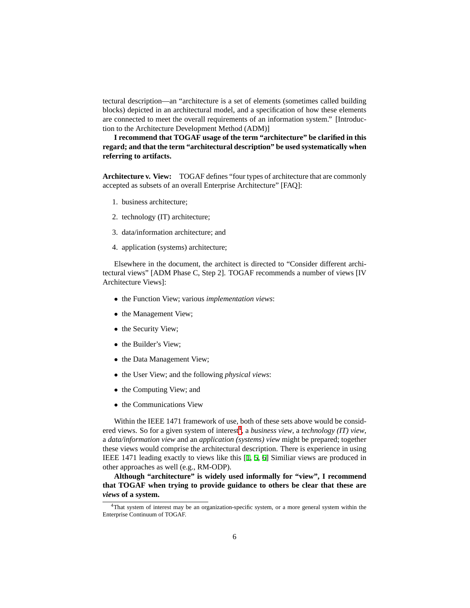tectural description—an "architecture is a set of elements (sometimes called building blocks) depicted in an architectural model, and a specification of how these elements are connected to meet the overall requirements of an information system." [Introduction to the Architecture Development Method (ADM)]

**I recommend that TOGAF usage of the term "architecture" be clarified in this regard; and that the term "architectural description" be used systematically when referring to artifacts.**

**Architecture v. View:** TOGAF defines "four types of architecture that are commonly accepted as subsets of an overall Enterprise Architecture" [FAQ]:

- 1. business architecture;
- 2. technology (IT) architecture;
- 3. data/information architecture; and
- 4. application (systems) architecture;

Elsewhere in the document, the architect is directed to "Consider different architectural views" [ADM Phase C, Step 2]. TOGAF recommends a number of views [IV Architecture Views]:

- the Function View; various *implementation views*:
- the Management View;
- the Security View;
- the Builder's View;
- the Data Management View;
- the User View; and the following *physical views*:
- the Computing View; and
- the Communications View

Within the IEEE 1471 framework of use, both of these sets above would be consid-ered views. So for a given system of interest<sup>[4](#page-5-0)</sup>, a *business view*, a *technology* (IT) view, a *data/information view* and an *application (systems) view* might be prepared; together these views would comprise the architectural description. There is experience in using IEEE 1471 leading exactly to views like this [[1,](#page-9-2) [5](#page-9-3), [6\]](#page-9-4) Similiar views are produced in other approaches as well (e.g., RM-ODP).

**Although "architecture" is widely used informally for "view", I recommend that TOGAF when trying to provide guidance to others be clear that these are** *views* **of a system.**

<span id="page-5-0"></span><sup>&</sup>lt;sup>4</sup>That system of interest may be an organization-specific system, or a more general system within the Enterprise Continuum of TOGAF.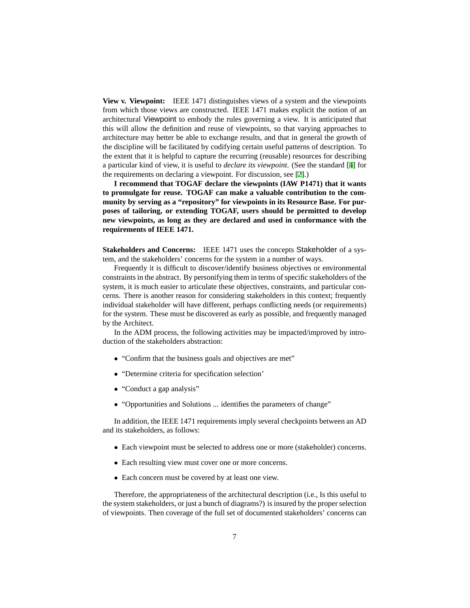**View v. Viewpoint:** IEEE 1471 distinguishes views of a system and the viewpoints from which those views are constructed. IEEE 1471 makes explicit the notion of an architectural Viewpoint to embody the rules governing a view. It is anticipated that this will allow the definition and reuse of viewpoints, so that varying approaches to architecture may better be able to exchange results, and that in general the growth of the discipline will be facilitated by codifying certain useful patterns of description. To the extent that it is helpful to capture the recurring (reusable) resources for describing a particular kind of view, it is useful to *declare its viewpoint*. (See the standard [[4\]](#page-9-1) for the requirements on declaring a viewpoint. For discussion, see [\[2](#page-9-5)].)

**I recommend that TOGAF declare the viewpoints (IAW P1471) that it wants to promulgate for reuse. TOGAF can make a valuable contribution to the community by serving as a "repository" for viewpoints in its Resource Base. For purposes of tailoring, or extending TOGAF, users should be permitted to develop new viewpoints, as long as they are declared and used in conformance with the requirements of IEEE 1471.**

**Stakeholders and Concerns:** IEEE 1471 uses the concepts Stakeholder of a system, and the stakeholders' concerns for the system in a number of ways.

Frequently it is difficult to discover/identify business objectives or environmental constraints in the abstract. By personifying them in terms of specific stakeholders of the system, it is much easier to articulate these objectives, constraints, and particular concerns. There is another reason for considering stakeholders in this context; frequently individual stakeholder will have different, perhaps conflicting needs (or requirements) for the system. These must be discovered as early as possible, and frequently managed by the Architect.

In the ADM process, the following activities may be impacted/improved by introduction of the stakeholders abstraction:

- "Confirm that the business goals and objectives are met"
- "Determine criteria for specification selection'
- "Conduct a gap analysis"
- "Opportunities and Solutions ... identifies the parameters of change"

In addition, the IEEE 1471 requirements imply several checkpoints between an AD and its stakeholders, as follows:

- Each viewpoint must be selected to address one or more (stakeholder) concerns.
- Each resulting view must cover one or more concerns.
- Each concern must be covered by at least one view.

Therefore, the appropriateness of the architectural description (i.e., Is this useful to the system stakeholders, or just a bunch of diagrams?) is insured by the proper selection of viewpoints. Then coverage of the full set of documented stakeholders' concerns can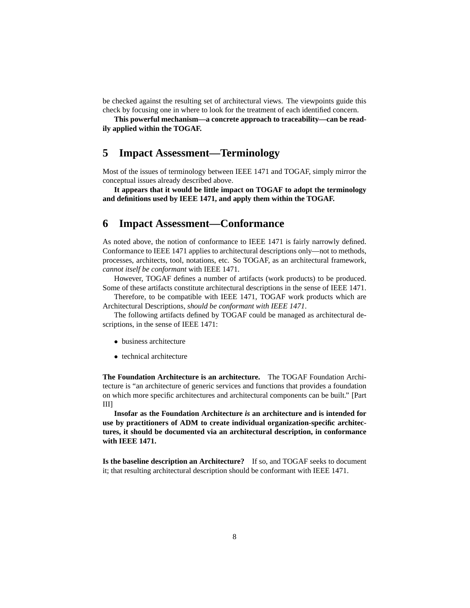be checked against the resulting set of architectural views. The viewpoints guide this check by focusing one in where to look for the treatment of each identified concern.

**This powerful mechanism—a concrete approach to traceability—can be readily applied within the TOGAF.**

#### **5 Impact Assessment—Terminology**

Most of the issues of terminology between IEEE 1471 and TOGAF, simply mirror the conceptual issues already described above.

**It appears that it would be little impact on TOGAF to adopt the terminology and definitions used by IEEE 1471, and apply them within the TOGAF.**

#### **6 Impact Assessment—Conformance**

As noted above, the notion of conformance to IEEE 1471 is fairly narrowly defined. Conformance to IEEE 1471 applies to architectural descriptions only—not to methods, processes, architects, tool, notations, etc. So TOGAF, as an architectural framework, *cannot itself be conformant* with IEEE 1471.

However, TOGAF defines a number of artifacts (work products) to be produced. Some of these artifacts constitute architectural descriptions in the sense of IEEE 1471.

Therefore, to be compatible with IEEE 1471, TOGAF work products which are Architectural Descriptions, *should be conformant with IEEE 1471*.

The following artifacts defined by TOGAF could be managed as architectural descriptions, in the sense of IEEE 1471:

- business architecture
- technical architecture

**The Foundation Architecture is an architecture.** The TOGAF Foundation Architecture is "an architecture of generic services and functions that provides a foundation on which more specific architectures and architectural components can be built." [Part III]

**Insofar as the Foundation Architecture** *is* **an architecture and is intended for use by practitioners of ADM to create individual organization-specific architectures, it should be documented via an architectural description, in conformance with IEEE 1471.**

**Is the baseline description an Architecture?** If so, and TOGAF seeks to document it; that resulting architectural description should be conformant with IEEE 1471.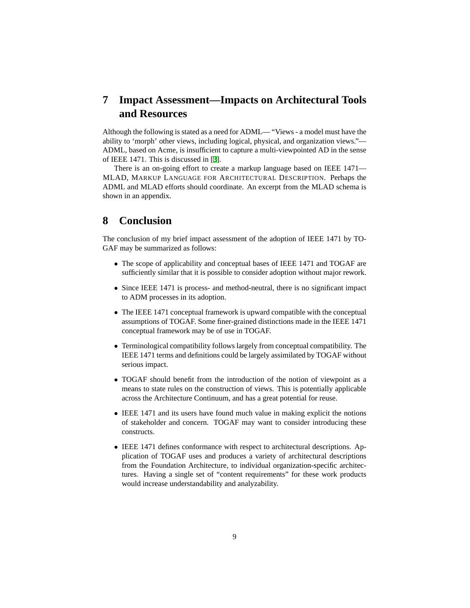# **7 Impact Assessment—Impacts on Architectural Tools and Resources**

Although the following is stated as a need for ADML— "Views - a model must have the ability to 'morph' other views, including logical, physical, and organization views."— ADML, based on Acme, is insufficient to capture a multi-viewpointed AD in the sense of IEEE 1471. This is discussed in [[3\]](#page-9-6).

There is an on-going effort to create a markup language based on IEEE 1471— MLAD, MARKUP LANGUAGE FOR ARCHITECTURAL DESCRIPTION. Perhaps the ADML and MLAD efforts should coordinate. An excerpt from the MLAD schema is shown in an appendix.

### **8 Conclusion**

The conclusion of my brief impact assessment of the adoption of IEEE 1471 by TO-GAF may be summarized as follows:

- The scope of applicability and conceptual bases of IEEE 1471 and TOGAF are sufficiently similar that it is possible to consider adoption without major rework.
- Since IEEE 1471 is process- and method-neutral, there is no significant impact to ADM processes in its adoption.
- The IEEE 1471 conceptual framework is upward compatible with the conceptual assumptions of TOGAF. Some finer-grained distinctions made in the IEEE 1471 conceptual framework may be of use in TOGAF.
- Terminological compatibility follows largely from conceptual compatibility. The IEEE 1471 terms and definitions could be largely assimilated by TOGAF without serious impact.
- TOGAF should benefit from the introduction of the notion of viewpoint as a means to state rules on the construction of views. This is potentially applicable across the Architecture Continuum, and has a great potential for reuse.
- IEEE 1471 and its users have found much value in making explicit the notions of stakeholder and concern. TOGAF may want to consider introducing these constructs.
- IEEE 1471 defines conformance with respect to architectural descriptions. Application of TOGAF uses and produces a variety of architectural descriptions from the Foundation Architecture, to individual organization-specific architectures. Having a single set of "content requirements" for these work products would increase understandability and analyzability.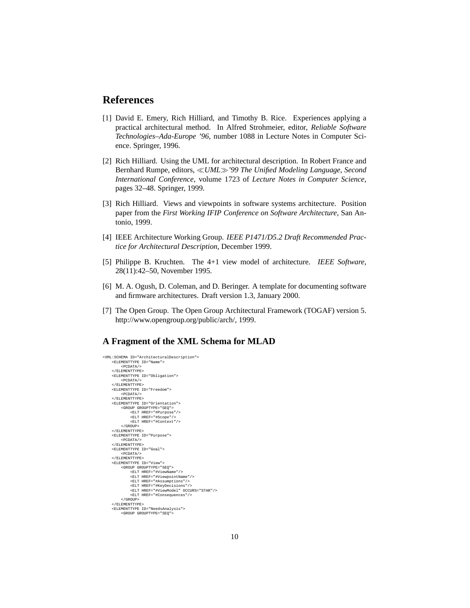### **References**

- <span id="page-9-2"></span>[1] David E. Emery, Rich Hilliard, and Timothy B. Rice. Experiences applying a practical architectural method. In Alfred Strohmeier, editor, *Reliable Software Technologies–Ada-Europe '96*, number 1088 in Lecture Notes in Computer Science. Springer, 1996.
- <span id="page-9-5"></span>[2] Rich Hilliard. Using the UML for architectural description. In Robert France and Bernhard Rumpe, editors, *UML'99 The Unified Modeling Language, Second International Conference*, volume 1723 of *Lecture Notes in Computer Science*, pages 32–48. Springer, 1999.
- <span id="page-9-6"></span>[3] Rich Hilliard. Views and viewpoints in software systems architecture. Position paper from the *First Working IFIP Conference on Software Architecture*, San Antonio, 1999.
- <span id="page-9-1"></span>[4] IEEE Architecture Working Group. *IEEE P1471/D5.2 Draft Recommended Practice for Architectural Description*, December 1999.
- <span id="page-9-3"></span>[5] Philippe B. Kruchten. The 4+1 view model of architecture. *IEEE Software*, 28(11):42–50, November 1995.
- <span id="page-9-4"></span>[6] M. A. Ogush, D. Coleman, and D. Beringer. A template for documenting software and firmware architectures. Draft version 1.3, January 2000.
- <span id="page-9-0"></span>[7] The Open Group. The Open Group Architectural Framework (TOGAF) version 5. http://www.opengroup.org/public/arch/, 1999.

#### **A Fragment of the XML Schema for MLAD**

```
<XML:SCHEMA ID="ArchitecturalDescription">
     <ELEMENTTYPE ID="Name">
           <PCDATA/>
     < / \hbox{\tt ELEMENTTYPE} ><ELEMENTTYPE ID="Obligation">
           <PCDATA/>
     </ELEMENTTYPE>
     <ELEMENTTYPE ID="Freedom">
           <PCDATA/>
      </ELEMENTTYPE>
<ELEMENTTYPE ID="Orientation">
          <GROUP GROUPTYPE="SEQ">
                <ELT HREF="#Purpose"/>
                 <ELT HREF="#Scope"/>
<ELT HREF="#Context"/>
           </GROUP>
      </ELEMENTTYPE><br><ELEMENTTYPE ID="Purpose"><br><><br></ELEMENTTYPE>
     <ELEMENTTYPE ID="Goal">
      <PCDATA/>
</ELEMENTTYPE>
     <ELEMENTTYPE ID="View">
            <GROUP GROUPTYPE="SEQ">
<ELT HREF="#ViewName"/>
<ELT HREF="#ViewpointName"/>
                 <ELT HREF="#Assumptions"/>
                 <ELT HREF="#KeyDecisions"/>
<ELT HREF="#ViewModel" OCCURS="STAR"/>
<ELT HREF="#Consequences"/>
           </GROUP>
      </ELEMENTTYPE>
<ELEMENTTYPE ID="NeedsAnalysis">
           <GROUP GROUPTYPE="SEQ">
```